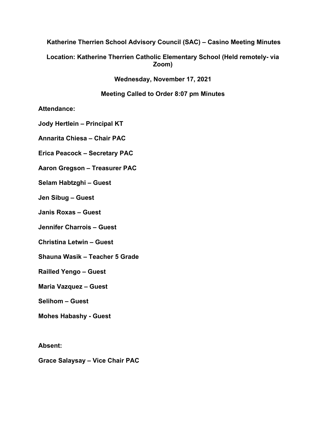**Katherine Therrien School Advisory Council (SAC) – Casino Meeting Minutes**

**Location: Katherine Therrien Catholic Elementary School (Held remotely- via Zoom)**

**Wednesday, November 17, 2021**

**Meeting Called to Order 8:07 pm Minutes**

**Attendance:** 

**Jody Hertlein – Principal KT**

**Annarita Chiesa – Chair PAC**

**Erica Peacock – Secretary PAC**

**Aaron Gregson – Treasurer PAC**

**Selam Habtzghi – Guest**

**Jen Sibug – Guest**

**Janis Roxas – Guest**

**Jennifer Charrois – Guest**

**Christina Letwin – Guest**

**Shauna Wasik – Teacher 5 Grade**

**Railled Yengo – Guest**

**Maria Vazquez – Guest**

**Selihom – Guest**

**Mohes Habashy - Guest**

**Absent:**

**Grace Salaysay – Vice Chair PAC**